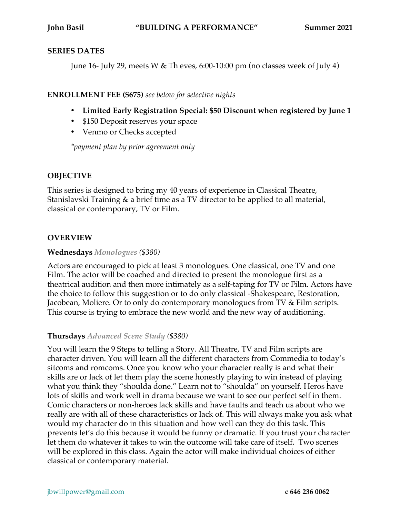#### **SERIES DATES**

June 16- July 29, meets W & Th eves, 6:00-10:00 pm (no classes week of July 4)

### **ENROLLMENT FEE (\$675)** *see below for selective nights*

- **Limited Early Registration Special: \$50 Discount when registered by June 1**
- \$150 Deposit reserves your space
- Venmo or Checks accepted

*\*payment plan by prior agreement only*

# **OBJECTIVE**

This series is designed to bring my 40 years of experience in Classical Theatre, Stanislavski Training & a brief time as a TV director to be applied to all material, classical or contemporary, TV or Film.

## **OVERVIEW**

### **Wednesdays** *Monologues (\$380)*

Actors are encouraged to pick at least 3 monologues. One classical, one TV and one Film. The actor will be coached and directed to present the monologue first as a theatrical audition and then more intimately as a self-taping for TV or Film. Actors have the choice to follow this suggestion or to do only classical -Shakespeare, Restoration, Jacobean, Moliere. Or to only do contemporary monologues from TV & Film scripts. This course is trying to embrace the new world and the new way of auditioning.

### **Thursdays** *Advanced Scene Study (\$380)*

You will learn the 9 Steps to telling a Story. All Theatre, TV and Film scripts are character driven. You will learn all the different characters from Commedia to today's sitcoms and romcoms. Once you know who your character really is and what their skills are or lack of let them play the scene honestly playing to win instead of playing what you think they "shoulda done." Learn not to "shoulda" on yourself. Heros have lots of skills and work well in drama because we want to see our perfect self in them. Comic characters or non-heroes lack skills and have faults and teach us about who we really are with all of these characteristics or lack of. This will always make you ask what would my character do in this situation and how well can they do this task. This prevents let's do this because it would be funny or dramatic. If you trust your character let them do whatever it takes to win the outcome will take care of itself. Two scenes will be explored in this class. Again the actor will make individual choices of either classical or contemporary material.